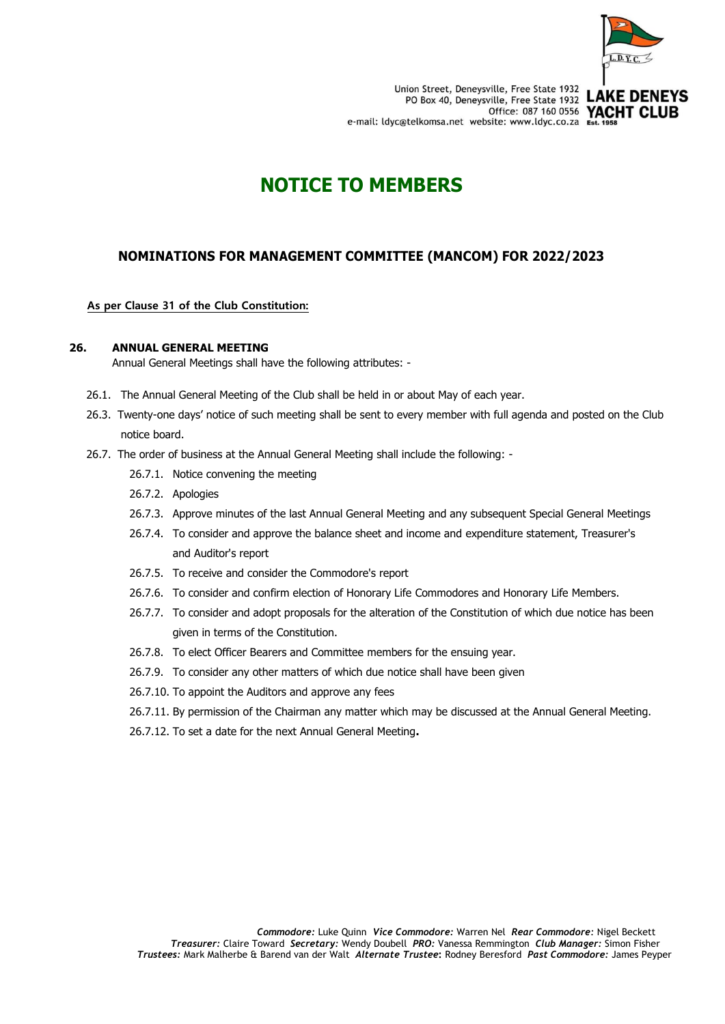

# **NOTICE TO MEMBERS**

## **NOMINATIONS FOR MANAGEMENT COMMITTEE (MANCOM) FOR 2022/2023**

#### **As per Clause 31 of the Club Constitution:**

#### **26. ANNUAL GENERAL MEETING**

Annual General Meetings shall have the following attributes: -

- 26.1. The Annual General Meeting of the Club shall be held in or about May of each year.
- 26.3. Twenty-one days' notice of such meeting shall be sent to every member with full agenda and posted on the Club notice board.
- 26.7. The order of business at the Annual General Meeting shall include the following:
	- 26.7.1. Notice convening the meeting
	- 26.7.2. Apologies
	- 26.7.3. Approve minutes of the last Annual General Meeting and any subsequent Special General Meetings
	- 26.7.4. To consider and approve the balance sheet and income and expenditure statement, Treasurer's and Auditor's report
	- 26.7.5. To receive and consider the Commodore's report
	- 26.7.6. To consider and confirm election of Honorary Life Commodores and Honorary Life Members.
	- 26.7.7. To consider and adopt proposals for the alteration of the Constitution of which due notice has been given in terms of the Constitution.
	- 26.7.8. To elect Officer Bearers and Committee members for the ensuing year.
	- 26.7.9. To consider any other matters of which due notice shall have been given
	- 26.7.10. To appoint the Auditors and approve any fees
	- 26.7.11. By permission of the Chairman any matter which may be discussed at the Annual General Meeting.
	- 26.7.12. To set a date for the next Annual General Meeting**.**